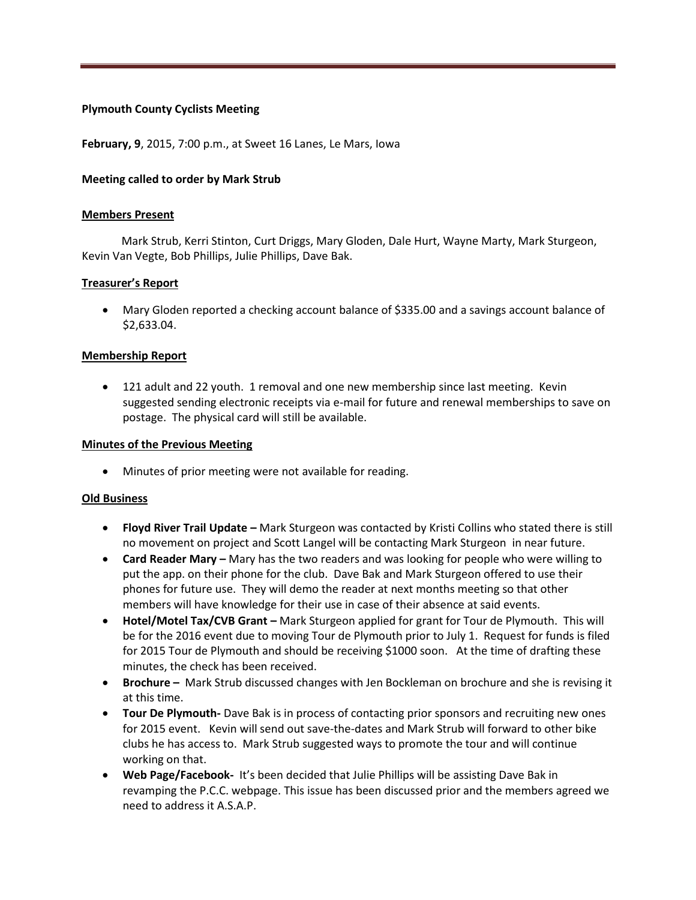# **Plymouth County Cyclists Meeting**

**February, 9**, 2015, 7:00 p.m., at Sweet 16 Lanes, Le Mars, Iowa

## **Meeting called to order by Mark Strub**

#### **Members Present**

 Mark Strub, Kerri Stinton, Curt Driggs, Mary Gloden, Dale Hurt, Wayne Marty, Mark Sturgeon, Kevin Van Vegte, Bob Phillips, Julie Phillips, Dave Bak.

## **Treasurer's Report**

 Mary Gloden reported a checking account balance of \$335.00 and a savings account balance of \$2,633.04.

## **Membership Report**

 121 adult and 22 youth. 1 removal and one new membership since last meeting. Kevin suggested sending electronic receipts via e-mail for future and renewal memberships to save on postage. The physical card will still be available.

#### **Minutes of the Previous Meeting**

Minutes of prior meeting were not available for reading.

#### **Old Business**

- **Floyd River Trail Update –** Mark Sturgeon was contacted by Kristi Collins who stated there is still no movement on project and Scott Langel will be contacting Mark Sturgeon in near future.
- **Card Reader Mary –** Mary has the two readers and was looking for people who were willing to put the app. on their phone for the club. Dave Bak and Mark Sturgeon offered to use their phones for future use. They will demo the reader at next months meeting so that other members will have knowledge for their use in case of their absence at said events.
- **Hotel/Motel Tax/CVB Grant –** Mark Sturgeon applied for grant for Tour de Plymouth. This will be for the 2016 event due to moving Tour de Plymouth prior to July 1. Request for funds is filed for 2015 Tour de Plymouth and should be receiving \$1000 soon. At the time of drafting these minutes, the check has been received.
- **Brochure –** Mark Strub discussed changes with Jen Bockleman on brochure and she is revising it at this time.
- **Tour De Plymouth-** Dave Bak is in process of contacting prior sponsors and recruiting new ones for 2015 event. Kevin will send out save-the-dates and Mark Strub will forward to other bike clubs he has access to. Mark Strub suggested ways to promote the tour and will continue working on that.
- **Web Page/Facebook-** It's been decided that Julie Phillips will be assisting Dave Bak in revamping the P.C.C. webpage. This issue has been discussed prior and the members agreed we need to address it A.S.A.P.